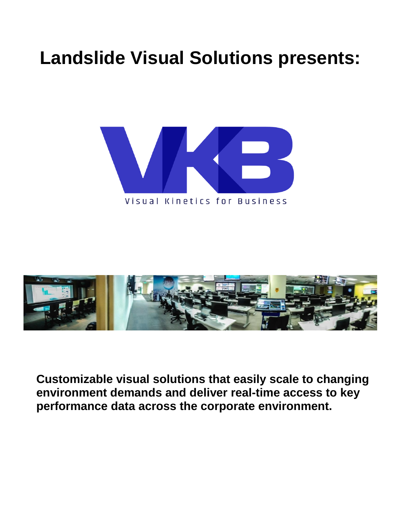# **Landslide Visual Solutions presents:**





**Customizable visual solutions that easily scale to changing environment demands and deliver real-time access to key performance data across the corporate environment.**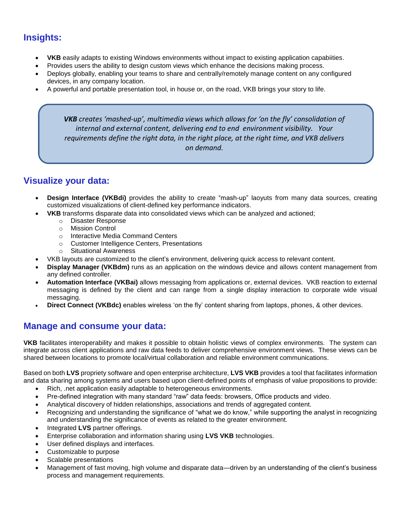## **Insights:**

- **VKB** easily adapts to existing Windows environments without impact to existing application capabiities.
- Provides users the ability to design custom views which enhance the decisions making process.
- Deploys globally, enabling your teams to share and centrally/remotely manage content on any configured devices, in any company location.
- A powerful and portable presentation tool, in house or, on the road, VKB brings your story to life.

*VKB creates 'mashed-up', multimedia views which allows for 'on the fly' consolidation of internal and external content, delivering end to end environment visibility. Your requirements define the right data, in the right place, at the right time, and VKB delivers on demand.*

#### **Visualize your data:**

- **Design Interface (VKBdi)** provides the ability to create "mash-up" laoyuts from many data sources, creating customized visualizations of client-defined key performance indicators.
	- **VKB** transforms disparate data into consolidated views which can be analyzed and actioned;
		- o Disaster Response
		- o Mission Control
		- o Interactive Media Command Centers
		- o Customer Intelligence Centers, Presentations
		- o Situational Awareness
- VKB layouts are customized to the client's environment, delivering quick access to relevant content.
- **Display Manager (VKBdm)** runs as an application on the windows device and allows content management from any defined controller.
- **Automation Interface (VKBai)** allows messaging from applications or, external devices. VKB reaction to external messaging is defined by the client and can range from a single display interaction to corporate wide visual messaging.
- **Direct Connect (VKBdc)** enables wireless 'on the fly' content sharing from laptops, phones, & other devices.

#### **Manage and consume your data:**

**VKB** facilitates interoperability and makes it possible to obtain holistic views of complex environments. The system can integrate across client applications and raw data feeds to deliver comprehensive environment views. These views can be shared between locations to promote local/virtual collaboration and reliable environment communications.

Based on both **LVS** propriety software and open enterprise architecture, **LVS VKB** provides a tool that facilitates information and data sharing among systems and users based upon client-defined points of emphasis of value propositions to provide:

- Rich, .net application easily adaptable to heterogeneous environments.
- Pre-defined integration with many standard "raw" data feeds: browsers, Office products and video.
- Analytical discovery of hidden relationships, associations and trends of aggregated content.
- Recognizing and understanding the significance of "what we do know," while supporting the analyst in recognizing and understanding the significance of events as related to the greater environment.
- Integrated **LVS** partner offerings.
- Enterprise collaboration and information sharing using **LVS VKB** technologies.
- User defined displays and interfaces.
- Customizable to purpose
- Scalable presentations
- Management of fast moving, high volume and disparate data—driven by an understanding of the client's business process and management requirements.